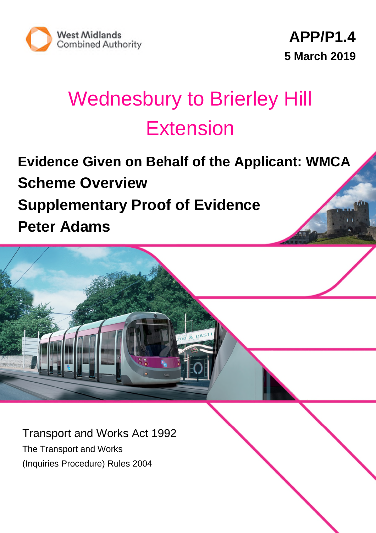

11152/23/

# Wednesbury to Brierley Hill **Extension**

**Evidence Given on Behalf of the Applicant: WMCA Scheme Overview Supplementary Proof of Evidence Peter Adams**

Transport and Works Act 1992 The Transport and Works (Inquiries Procedure) Rules 2004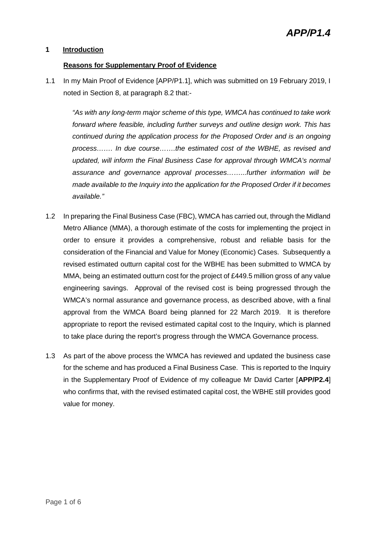#### **1 Introduction**

#### **Reasons for Supplementary Proof of Evidence**

1.1 In my Main Proof of Evidence [APP/P1.1], which was submitted on 19 February 2019, I noted in Section 8, at paragraph 8.2 that:-

*"As with any long-term major scheme of this type, WMCA has continued to take work forward where feasible, including further surveys and outline design work. This has continued during the application process for the Proposed Order and is an ongoing process……. In due course…….the estimated cost of the WBHE, as revised and updated, will inform the Final Business Case for approval through WMCA's normal assurance and governance approval processes……...further information will be made available to the Inquiry into the application for the Proposed Order if it becomes available."*

- 1.2 In preparing the Final Business Case (FBC), WMCA has carried out, through the Midland Metro Alliance (MMA), a thorough estimate of the costs for implementing the project in order to ensure it provides a comprehensive, robust and reliable basis for the consideration of the Financial and Value for Money (Economic) Cases. Subsequently a revised estimated outturn capital cost for the WBHE has been submitted to WMCA by MMA, being an estimated outturn cost for the project of £449.5 million gross of any value engineering savings. Approval of the revised cost is being progressed through the WMCA's normal assurance and governance process, as described above, with a final approval from the WMCA Board being planned for 22 March 2019. It is therefore appropriate to report the revised estimated capital cost to the Inquiry, which is planned to take place during the report's progress through the WMCA Governance process.
- 1.3 As part of the above process the WMCA has reviewed and updated the business case for the scheme and has produced a Final Business Case. This is reported to the Inquiry in the Supplementary Proof of Evidence of my colleague Mr David Carter [**APP/P2.4**] who confirms that, with the revised estimated capital cost, the WBHE still provides good value for money.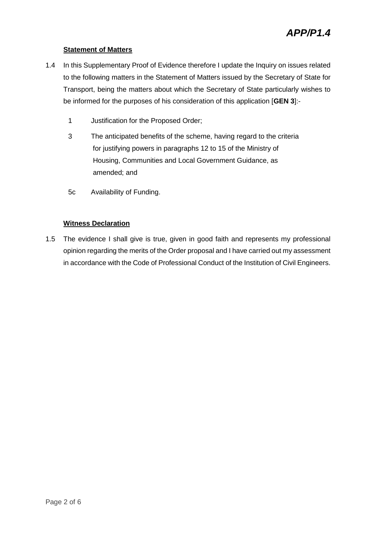#### **Statement of Matters**

- 1.4 In this Supplementary Proof of Evidence therefore I update the Inquiry on issues related to the following matters in the Statement of Matters issued by the Secretary of State for Transport, being the matters about which the Secretary of State particularly wishes to be informed for the purposes of his consideration of this application [**GEN 3**]:-
	- 1 Justification for the Proposed Order;
	- 3 The anticipated benefits of the scheme, having regard to the criteria for justifying powers in paragraphs 12 to 15 of the Ministry of Housing, Communities and Local Government Guidance, as amended; and
	- 5c Availability of Funding.

#### **Witness Declaration**

1.5 The evidence I shall give is true, given in good faith and represents my professional opinion regarding the merits of the Order proposal and I have carried out my assessment in accordance with the Code of Professional Conduct of the Institution of Civil Engineers.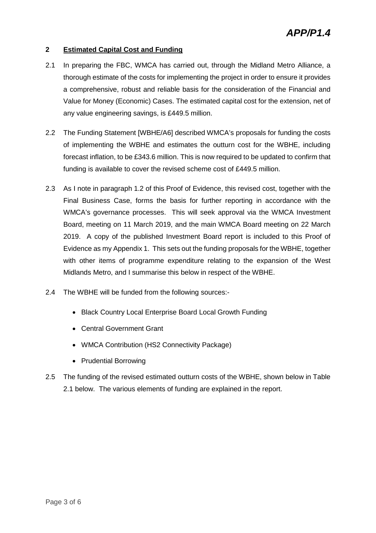#### **2 Estimated Capital Cost and Funding**

- 2.1 In preparing the FBC, WMCA has carried out, through the Midland Metro Alliance, a thorough estimate of the costs for implementing the project in order to ensure it provides a comprehensive, robust and reliable basis for the consideration of the Financial and Value for Money (Economic) Cases. The estimated capital cost for the extension, net of any value engineering savings, is £449.5 million.
- 2.2 The Funding Statement [WBHE/A6] described WMCA's proposals for funding the costs of implementing the WBHE and estimates the outturn cost for the WBHE, including forecast inflation, to be £343.6 million. This is now required to be updated to confirm that funding is available to cover the revised scheme cost of £449.5 million.
- 2.3 As I note in paragraph 1.2 of this Proof of Evidence, this revised cost, together with the Final Business Case, forms the basis for further reporting in accordance with the WMCA's governance processes. This will seek approval via the WMCA Investment Board, meeting on 11 March 2019, and the main WMCA Board meeting on 22 March 2019. A copy of the published Investment Board report is included to this Proof of Evidence as my Appendix 1. This sets out the funding proposals for the WBHE, together with other items of programme expenditure relating to the expansion of the West Midlands Metro, and I summarise this below in respect of the WBHE.
- 2.4 The WBHE will be funded from the following sources:-
	- Black Country Local Enterprise Board Local Growth Funding
	- Central Government Grant
	- WMCA Contribution (HS2 Connectivity Package)
	- Prudential Borrowing
- 2.5 The funding of the revised estimated outturn costs of the WBHE, shown below in Table 2.1 below. The various elements of funding are explained in the report.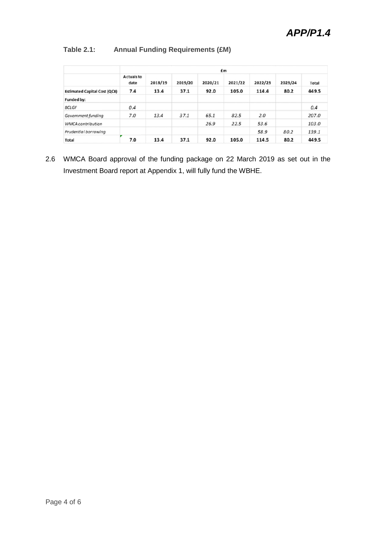#### **Table 2.1: Annual Funding Requirements (£M)**

|                                     | £m                 |         |         |         |         |         |         |       |
|-------------------------------------|--------------------|---------|---------|---------|---------|---------|---------|-------|
|                                     | Actuals to<br>date | 2018/19 | 2019/20 | 2020/21 | 2021/22 | 2022/23 | 2023/24 | Total |
| <b>Estimated Capital Cost (QCE)</b> | 7.4                | 13.4    | 37.1    | 92.0    | 105.0   | 114.4   | 80.2    | 449.5 |
| Funded by:                          |                    |         |         |         |         |         |         |       |
| <b>BCLGF</b>                        | 0.4                |         |         |         |         |         |         | 0.4   |
| Government funding                  | 7.0                | 13.4    | 37.1    | 65.1    | 82.5    | 2.0     |         | 207.0 |
| <b>WMCA</b> contribution            |                    |         |         | 26.9    | 22.5    | 53.6    |         | 103.0 |
| Prudential borrowing                |                    |         |         |         |         | 58.9    | 80.2    | 139.1 |
| <b>Total</b>                        | 7.0                | 13.4    | 37.1    | 92.0    | 105.0   | 114.5   | 80.2    | 449.5 |

2.6 WMCA Board approval of the funding package on 22 March 2019 as set out in the Investment Board report at Appendix 1, will fully fund the WBHE.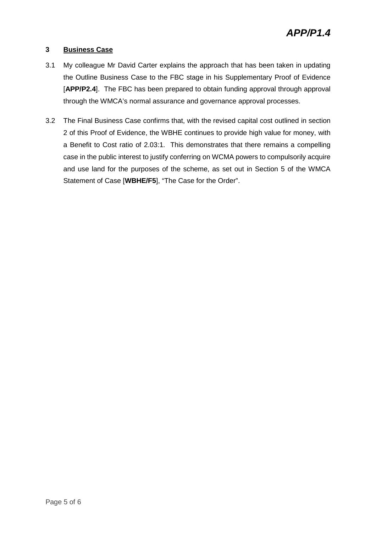#### **3 Business Case**

- 3.1 My colleague Mr David Carter explains the approach that has been taken in updating the Outline Business Case to the FBC stage in his Supplementary Proof of Evidence [**APP/P2.4**]. The FBC has been prepared to obtain funding approval through approval through the WMCA's normal assurance and governance approval processes.
- 3.2 The Final Business Case confirms that, with the revised capital cost outlined in section 2 of this Proof of Evidence, the WBHE continues to provide high value for money, with a Benefit to Cost ratio of 2.03:1. This demonstrates that there remains a compelling case in the public interest to justify conferring on WCMA powers to compulsorily acquire and use land for the purposes of the scheme, as set out in Section 5 of the WMCA Statement of Case [**WBHE/F5**], "The Case for the Order".